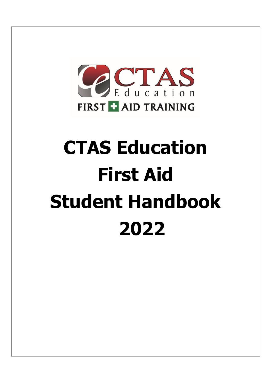

# **CTAS Education First Aid Student Handbook 2022**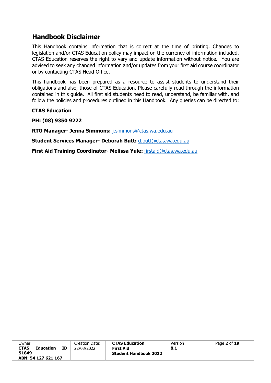# **Handbook Disclaimer**

This Handbook contains information that is correct at the time of printing. Changes to legislation and/or CTAS Education policy may impact on the currency of information included. CTAS Education reserves the right to vary and update information without notice. You are advised to seek any changed information and/or updates from your first aid course coordinator or by contacting CTAS Head Office.

This handbook has been prepared as a resource to assist students to understand their obligations and also, those of CTAS Education. Please carefully read through the information contained in this guide. All first aid students need to read, understand, be familiar with, and follow the policies and procedures outlined in this Handbook. Any queries can be directed to:

## **CTAS Education**

**PH: (08) 9350 9222** 

**RTO Manager- Jenna Simmons:** j.simmons@ctas.wa.edu.au

**Student Services Manager- Deborah Butt:** d.butt@ctas.wa.edu.au

**First Aid Training Coordinator- Melissa Yule:** firstaid@ctas.wa.edu.au

| Owner                           |    | Creation Date: | <b>CTAS Education</b>        | Version | Page 2 of 19 |
|---------------------------------|----|----------------|------------------------------|---------|--------------|
| <b>CTAS</b><br><b>Education</b> | ΙD | 22/03/2022     | <b>First Aid</b>             | 8.1     |              |
| 51849                           |    |                | <b>Student Handbook 2022</b> |         |              |
| ABN: 54 127 621 167             |    |                |                              |         |              |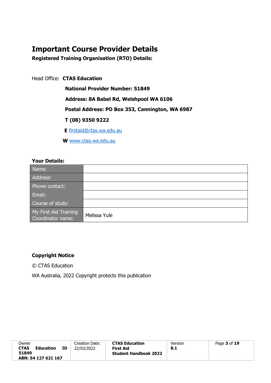# **Important Course Provider Details**

**Registered Training Organisation (RTO) Details:** 

Head Office: **CTAS Education** 

**National Provider Number: 51849** 

 **Address: 8A Babel Rd, Welshpool WA 6106**

**Postal Address: PO Box 353, Cannington, WA 6987** 

**T (08) 9350 9222** 

**E** firstaid@ctas.wa.edu.au

**W** [www.ctas.wa.edu.au](http://www.ctas.wa.edu.au/)

# **Your Details:**

| Name:                                      |              |
|--------------------------------------------|--------------|
| Address:                                   |              |
| Phone contact:                             |              |
| Email:                                     |              |
| Course of study:                           |              |
| My First Aid Training<br>Coordinator name: | Melissa Yule |

# **Copyright Notice**

© CTAS Education

WA Australia, 2022 Copyright protects this publication

| Owner                           | Creation Date: | <b>CTAS Education</b>        | Version | Page 3 of 19 |
|---------------------------------|----------------|------------------------------|---------|--------------|
|                                 |                |                              |         |              |
| ΙD                              |                |                              |         |              |
| <b>CTAS</b><br><b>Education</b> | 22/03/2022     | <b>First Aid</b>             | 8.1     |              |
|                                 |                |                              |         |              |
| 51849                           |                | <b>Student Handbook 2022</b> |         |              |
|                                 |                |                              |         |              |
| ABN: 54 127 621 167             |                |                              |         |              |
|                                 |                |                              |         |              |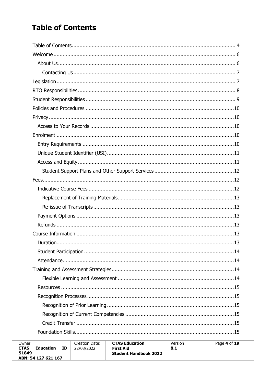# <span id="page-3-0"></span>**Table of Contents**

| Owner<br><b>CTAS</b><br>ΙD<br>Education<br>51849<br>ABN: 54 127 621 167 | Creation Date:<br>22/03/2022 | <b>CTAS Education</b><br>First Aid<br><b>Student Handbook 2022</b> | Version<br>8.1 | Page 4 of 19 |
|-------------------------------------------------------------------------|------------------------------|--------------------------------------------------------------------|----------------|--------------|
|-------------------------------------------------------------------------|------------------------------|--------------------------------------------------------------------|----------------|--------------|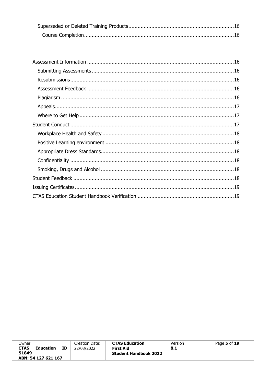| Owner<br>CTAS<br>Education<br>ΙD<br>51849 | Creation Date:<br>22/03/2022 | <b>CTAS Education</b><br><b>First Aid</b><br><b>Student Handbook 2022</b> | Version<br>- 8.1 | Page 5 of 19 |
|-------------------------------------------|------------------------------|---------------------------------------------------------------------------|------------------|--------------|
| ABN: 54 127 621 167                       |                              |                                                                           |                  |              |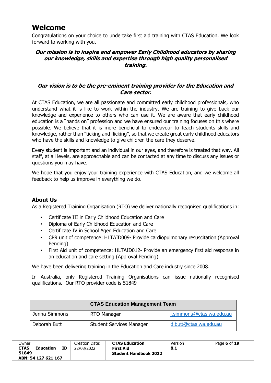# <span id="page-5-0"></span>**Welcome**

Congratulations on your choice to undertake first aid training with CTAS Education. We look forward to working with you.

# **Our mission is to inspire and empower Early Childhood educators by sharing our knowledge, skills and expertise through high quality personalised training.**

# **Our vision is to be the pre-eminent training provider for the Education and Care sector.**

At CTAS Education, we are all passionate and committed early childhood professionals, who understand what it is like to work within the industry. We are training to give back our knowledge and experience to others who can use it. We are aware that early childhood education is a "hands on" profession and we have ensured our training focuses on this where possible. We believe that it is more beneficial to endeavour to teach students skills and knowledge, rather than "ticking and flicking", so that we create great early childhood educators who have the skills and knowledge to give children the care they deserve.

Every student is important and an individual in our eyes, and therefore is treated that way. All staff, at all levels, are approachable and can be contacted at any time to discuss any issues or questions you may have.

We hope that you enjoy your training experience with CTAS Education, and we welcome all feedback to help us improve in everything we do.

# <span id="page-5-1"></span>**About Us**

As a Registered Training Organisation (RTO) we deliver nationally recognised qualifications in:

- Certificate III in Early Childhood Education and Care
- Diploma of Early Childhood Education and Care
- Certificate IV in School Aged Education and Care
- CPR unit of competence: HLTAID009- Provide cardiopulmonary resuscitation (Approval Pending)
- First Aid unit of competence: HLTAID012- Provide an emergency first aid response in an education and care setting (Approval Pending)

We have been delivering training in the Education and Care industry since 2008.

In Australia, only Registered Training Organisations can issue nationally recognised qualifications. Our RTO provider code is 51849

| <b>CTAS Education Management Team</b> |                                 |                          |  |  |
|---------------------------------------|---------------------------------|--------------------------|--|--|
| Jenna Simmons                         | RTO Manager                     | j.simmons@ctas.wa.edu.au |  |  |
| Deborah Butt                          | <b>Student Services Manager</b> | d.butt@ctas.wa.edu.au    |  |  |

| Owner                    |    | Creation Date: | <b>CTAS Education</b>        | Version | Page 6 of 19 |
|--------------------------|----|----------------|------------------------------|---------|--------------|
| <b>CTAS</b><br>Education | ΙD | 22/03/2022     | <b>First Aid</b>             | 8.1     |              |
| 51849                    |    |                | <b>Student Handbook 2022</b> |         |              |
| ABN: 54 127 621 167      |    |                |                              |         |              |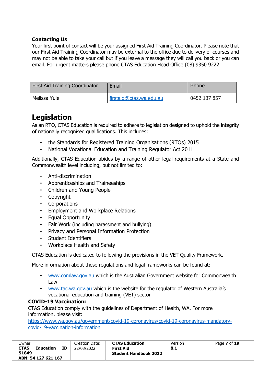# <span id="page-6-0"></span>**Contacting Us**

Your first point of contact will be your assigned First Aid Training Coordinator. Please note that our First Aid Training Coordinator may be external to the office due to delivery of courses and may not be able to take your call but if you leave a message they will call you back or you can email. For urgent matters please phone CTAS Education Head Office (08) 9350 9222.

| <b>First Aid Training Coordinator</b> | Email                   | Phone        |
|---------------------------------------|-------------------------|--------------|
| Melissa Yule                          | firstaid@ctas.wa.edu.au | 0452 137 857 |

# <span id="page-6-1"></span>**Legislation**

As an RTO, CTAS Education is required to adhere to legislation designed to uphold the integrity of nationally recognised qualifications. This includes:

- the Standards for Registered Training Organisations (RTOs) 2015
- National Vocational Education and Training Regulator Act 2011

Additionally, CTAS Education abides by a range of other legal requirements at a State and Commonwealth level including, but not limited to:

- Anti-discrimination
- Apprenticeships and Traineeships
- Children and Young People
- Copyright
- Corporations
- Employment and Workplace Relations
- Equal Opportunity
- Fair Work (including harassment and bullying)
- Privacy and Personal Information Protection
- Student Identifiers
- Workplace Health and Safety

CTAS Education is dedicated to following the provisions in the VET Quality Framework.

More information about these regulations and legal frameworks can be found at:

- [www.comlaw.gov.au](http://www.comlaw.gov.au/) which is the Australian Government website for Commonwealth Law
- [www.tac.wa.gov.au](http://www.tac.wa.gov.au/) [w](http://www.tac.wa.gov.au/)hich is the website for the regulator of Western Australia's vocational education and training (VET) sector

## **COVID-19 Vaccination:**

CTAS Education comply with the guidelines of Department of Health, WA. For more information, please visit:

[https://www.wa.gov.au/government/covid-19-coronavirus/covid-19-coronavirus-mandatory](https://www.wa.gov.au/government/covid-19-coronavirus/covid-19-coronavirus-mandatory-covid-19-vaccination-information)[covid-19-vaccination-information](https://www.wa.gov.au/government/covid-19-coronavirus/covid-19-coronavirus-mandatory-covid-19-vaccination-information)

| Owner                             |    | Creation Date: | <b>CTAS Education</b>                     | Version | Page 7 of 19 |
|-----------------------------------|----|----------------|-------------------------------------------|---------|--------------|
| <b>CTAS</b><br>Education<br>51849 | ΙD | 22/03/2022     | First Aid<br><b>Student Handbook 2022</b> | 8.1     |              |
| ABN: 54 127 621 167               |    |                |                                           |         |              |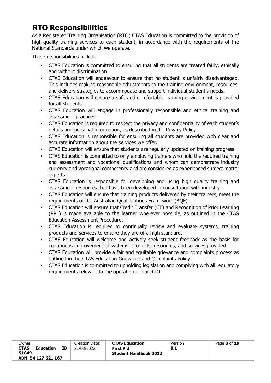# <span id="page-7-0"></span> **RTO Responsibilities**

As a Registered Training Organisation (RTO) CTAS Education is committed to the provision of high-quality training services to each student, in accordance with the requirements of the National Standards under which we operate.

These responsibilities include:

- CTAS Education is committed to ensuring that all students are treated fairly, ethically and without discrimination.
- CTAS Education will endeavour to ensure that no student is unfairly disadvantaged. This includes making reasonable adjustments to the training environment, resources, and delivery strategies to accommodate and support individual student's needs.
- CTAS Education will ensure a safe and comfortable learning environment is provided for all students.
- CTAS Education will engage in professionally responsible and ethical training and assessment practices.
- CTAS Education is required to respect the privacy and confidentiality of each student's details and personal information, as described in the Privacy Policy.
- CTAS Education is responsible for ensuring all students are provided with clear and accurate information about the services we offer.
- CTAS Education will ensure that students are regularly updated on training progress.
- CTAS Education is committed to only employing trainers who hold the required training and assessment and vocational qualifications and whom can demonstrate industry currency and vocational competency and are considered as experienced subject matter experts.
- CTAS Education is responsible for developing and using high quality training and assessment resources that have been developed in consultation with industry.
- CTAS Education will ensure that training products delivered by their trainers, meet the requirements of the Australian Qualifications Framework (AQF)
- CTAS Education will ensure that Credit Transfer (CT) and Recognition of Prior Learning (RPL) is made available to the learner wherever possible, as outlined in the CTAS Education Assessment Procedure.
- CTAS Education is required to continually review and evaluate systems, training products and services to ensure they are of a high standard.
- CTAS Education will welcome and actively seek student feedback as the basis for continuous improvement of systems, products, resources, and services provided.
- CTAS Education will provide a fair and equitable grievance and complaints process as outlined in the CTAS Education Grievance and Complaints Policy.
- CTAS Education is committed to upholding legislation and complying with all regulatory requirements relevant to the operation of our RTO.

| Owner<br><b>CTAS</b><br>ΙD<br>Education | Creation Date:<br>22/03/2022 | <b>CTAS Education</b><br><b>First Aid</b> | Version<br>8.1 | Page 8 of 19 |
|-----------------------------------------|------------------------------|-------------------------------------------|----------------|--------------|
| 51849<br>ABN: 54 127 621 167            |                              | <b>Student Handbook 2022</b>              |                |              |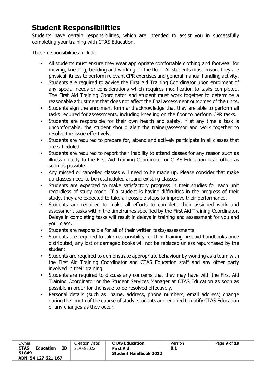# <span id="page-8-0"></span>**Student Responsibilities**

Students have certain responsibilities, which are intended to assist you in successfully completing your training with CTAS Education.

These responsibilities include:

- All students must ensure they wear appropriate comfortable clothing and footwear for moving, kneeling, bending and working on the floor. All students must ensure they are physical fitness to perform relevant CPR exercises and general manual handling activity.
- Students are required to advise the First Aid Training Coordinator upon enrolment of any special needs or considerations which requires modification to tasks completed. The First Aid Training Coordinator and student must work together to determine a reasonable adjustment that does not affect the final assessment outcomes of the units.
- Students sign the enrolment form and acknowledge that they are able to perform all tasks required for assessments, including kneeling on the floor to perform CPR tasks.
- Students are responsible for their own health and safety, if at any time a task is uncomfortable, the student should alert the trainer/assessor and work together to resolve the issue effectively.
- Students are required to prepare for, attend and actively participate in all classes that are scheduled.
- Students are required to report their inability to attend classes for any reason such as illness directly to the First Aid Training Coordinator or CTAS Education head office as soon as possible.
- Any missed or cancelled classes will need to be made up. Please consider that make up classes need to be rescheduled around existing classes.
- Students are expected to make satisfactory progress in their studies for each unit regardless of study mode. If a student is having difficulties in the progress of their study, they are expected to take all possible steps to improve their performance.
- Students are required to make all efforts to complete their assigned work and assessment tasks within the timeframes specified by the First Aid Training Coordinator. Delays in completing tasks will result in delays in training and assessment for you and your class.
- Students are responsible for all of their written tasks/assessments.
- Students are required to take responsibility for their training first aid handbooks once distributed, any lost or damaged books will not be replaced unless repurchased by the student.
- Students are required to demonstrate appropriate behaviour by working as a team with the First Aid Training Coordinator and CTAS Education staff and any other party involved in their training.
- Students are required to discuss any concerns that they may have with the First Aid Training Coordinator or the Student Services Manager at CTAS Education as soon as possible in order for the issue to be resolved effectively.
- <span id="page-8-1"></span>• Personal details (such as: name, address, phone numbers, email address) change during the length of the course of study, students are required to notify CTAS Education of any changes as they occur.

| Owner               |           |    | Creation Date: | <b>CTAS Education</b>        | Version | Page 9 of 19 |
|---------------------|-----------|----|----------------|------------------------------|---------|--------------|
| <b>CTAS</b>         | Education | ΙD | 22/03/2022     | <b>First Aid</b>             | 8.1     |              |
| 51849               |           |    |                | <b>Student Handbook 2022</b> |         |              |
| ABN: 54 127 621 167 |           |    |                |                              |         |              |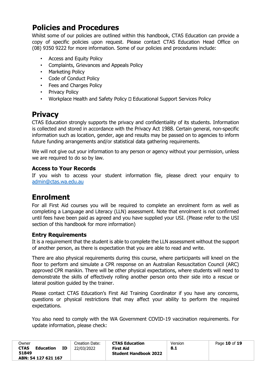# **Policies and Procedures**

Whilst some of our policies are outlined within this handbook, CTAS Education can provide a copy of specific policies upon request. Please contact CTAS Education Head Office on (08) 9350 9222 for more information. Some of our policies and procedures include:

- Access and Equity Policy
- Complaints, Grievances and Appeals Policy
- Marketing Policy
- Code of Conduct Policy
- Fees and Charges Policy
- Privacy Policy
- Workplace Health and Safety Policy D Educational Support Services Policy

# <span id="page-9-0"></span>**Privacy**

CTAS Education strongly supports the privacy and confidentiality of its students. Information is collected and stored in accordance with the Privacy Act 1988. Certain general, non-specific information such as location, gender, age and results may be passed on to agencies to inform future funding arrangements and/or statistical data gathering requirements.

We will not give out your information to any person or agency without your permission, unless we are required to do so by law.

# <span id="page-9-1"></span>**Access to Your Records**

If you wish to access your student information file, please direct your enquiry to [admin@ctas.wa.edu.au](mailto:admin@ctas.wa.edu.au)

# <span id="page-9-2"></span>**Enrolment**

For all First Aid courses you will be required to complete an enrolment form as well as completing a Language and Literacy (LLN) assessment. Note that enrolment is not confirmed until fees have been paid as agreed and you have supplied your USI. (Please refer to the USI section of this handbook for more information)

# <span id="page-9-3"></span>**Entry Requirements**

It is a requirement that the student is able to complete the LLN assessment without the support of another person, as there is expectation that you are able to read and write.

There are also physical requirements during this course, where participants will kneel on the floor to perform and simulate a CPR response on an Australian Resuscitation Council (ARC) approved CPR manikin. There will be other physical expectations, where students will need to demonstrate the skills of effectively rolling another person onto their side into a rescue or lateral position guided by the trainer.

Please contact CTAS Education's First Aid Training Coordinator if you have any concerns, questions or physical restrictions that may affect your ability to perform the required expectations.

You also need to comply with the WA Government COVID-19 vaccination requirements. For update information, please check:

| <b>CTAS Education</b><br>Owner<br>Creation Date:<br><b>CTAS</b><br>ΙD<br><b>Education</b><br>22/03/2022<br><b>First Aid</b><br>51849<br><b>Student Handbook 2022</b><br>ABN: 54 127 621 167 | Version<br>8.1 | Page 10 of 19 |
|---------------------------------------------------------------------------------------------------------------------------------------------------------------------------------------------|----------------|---------------|
|---------------------------------------------------------------------------------------------------------------------------------------------------------------------------------------------|----------------|---------------|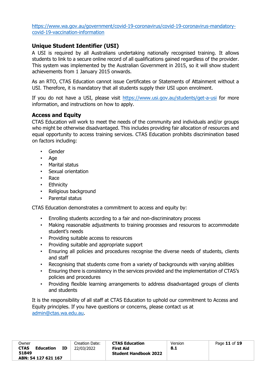[https://www.wa.gov.au/government/covid-19-coronavirus/covid-19-coronavirus-mandatory](https://www.wa.gov.au/government/covid-19-coronavirus/covid-19-coronavirus-mandatory-covid-19-vaccination-information)[covid-19-vaccination-information](https://www.wa.gov.au/government/covid-19-coronavirus/covid-19-coronavirus-mandatory-covid-19-vaccination-information)

# <span id="page-10-0"></span>**Unique Student Identifier (USI)**

A USI is required by all Australians undertaking nationally recognised training. It allows students to link to a secure online record of all qualifications gained regardless of the provider. This system was implemented by the Australian Government in 2015, so it will show student achievements from 1 January 2015 onwards.

As an RTO, CTAS Education cannot issue Certificates or Statements of Attainment without a USI. Therefore, it is mandatory that all students supply their USI upon enrolment.

If you do not have a USI, please visit <https://www.usi.gov.au/students/get-a-usi> [f](https://www.usi.gov.au/students/create-your-usi)or more information, and instructions on how to apply.

# <span id="page-10-1"></span>**Access and Equity**

CTAS Education will work to meet the needs of the community and individuals and/or groups who might be otherwise disadvantaged. This includes providing fair allocation of resources and equal opportunity to access training services. CTAS Education prohibits discrimination based on factors including:

- Gender
- Age
- Marital status
- Sexual orientation
- Race
- Ethnicity
- Religious background
- Parental status

CTAS Education demonstrates a commitment to access and equity by:

- Enrolling students according to a fair and non-discriminatory process
- Making reasonable adjustments to training processes and resources to accommodate student's needs
- Providing suitable access to resources
- Providing suitable and appropriate support
- Ensuring all policies and procedures recognise the diverse needs of students, clients and staff
- Recognising that students come from a variety of backgrounds with varying abilities
- Ensuring there is consistency in the services provided and the implementation of CTAS's policies and procedures
- Providing flexible learning arrangements to address disadvantaged groups of clients and students

It is the responsibility of all staff at CTAS Education to uphold our commitment to Access and Equity principles. If you have questions or concerns, please contact us at [admin@ctas.wa.edu.au.](mailto:admin@ctas.wa.edu.au)

| Owner                    |    | Creation Date: | <b>CTAS Education</b>        | Version | Page 11 of 19 |
|--------------------------|----|----------------|------------------------------|---------|---------------|
| <b>CTAS</b><br>Education | ΙD | 22/03/2022     | First Aid                    | 8.1     |               |
| 51849                    |    |                | <b>Student Handbook 2022</b> |         |               |
| ABN: 54 127 621 167      |    |                |                              |         |               |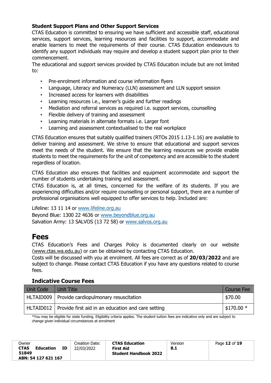# <span id="page-11-0"></span>**Student Support Plans and Other Support Services**

CTAS Education is committed to ensuring we have sufficient and accessible staff, educational services, support services, learning resources and facilities to support, accommodate and enable learners to meet the requirements of their course. CTAS Education endeavours to identify any support individuals may require and develop a student support plan prior to their commencement.

The educational and support services provided by CTAS Education include but are not limited to:

- Pre-enrolment information and course information flyers
- Language, Literacy and Numeracy (LLN) assessment and LLN support session
- Increased access for learners with disabilities
- Learning resources i.e., learner's guide and further readings
- Mediation and referral services as required i.e. support services, counselling
- Flexible delivery of training and assessment
- Learning materials in alternate formats i.e. Larger font
- Learning and assessment contextualised to the real workplace

CTAS Education ensures that suitably qualified trainers (RTOs 2015 1.13-1.16) are available to deliver training and assessment. We strive to ensure that educational and support services meet the needs of the student. We ensure that the learning resources we provide enable students to meet the requirements for the unit of competency and are accessible to the student regardless of location.

CTAS Education also ensures that facilities and equipment accommodate and support the number of students undertaking training and assessment.

CTAS Education is, at all times, concerned for the welfare of its students. If you are experiencing difficulties and/or require counselling or personal support, there are a number of professional organisations well equipped to offer services to help. Included are:

Lifeline: 13 11 14 or [www.lifeline.org.au](http://www.lifeline.org.au/)

Beyond Blue: 1300 22 4636 or [www.beyondblue.org.au](http://www.beyondblue.org.au/) Salvation Army: 13 SALVOS (13 72 58) or [www.salvos.org.au](http://www.salvos.org.au/)

# <span id="page-11-1"></span>**Fees**

CTAS Education's Fees and Charges Policy is documented clearly on our website [\(www.ctas.wa.edu.au\)](http://www.ctas.wa.edu.au/) or can be obtained by contacting CTAS Education.

Costs will be discussed with you at enrolment. All fees are correct as of **20/03/2022** and are subject to change. Please contact CTAS Education if you have any questions related to course fees.

## <span id="page-11-2"></span>**Indicative Course Fees**

| Unit Code | Unit Title                                                     | <b>Course Fee</b> |
|-----------|----------------------------------------------------------------|-------------------|
|           | HLTAID009   Provide cardiopulmonary resuscitation              | \$70.00           |
|           | HLTAID012   Provide first aid in an education and care setting | $$170.00*$        |

\*You may be eligible for state funding. Eligibility criteria applies. The student tuition fees are indicative only and are subject to change given individual circumstances at enrolment

| Owner<br><b>CTAS</b><br><b>Education</b><br>51849 | ΙD | Creation Date:<br>22/03/2022 | <b>CTAS Education</b><br>First Aid<br><b>Student Handbook 2022</b> | Version<br>8.1 | Page 12 of 19 |
|---------------------------------------------------|----|------------------------------|--------------------------------------------------------------------|----------------|---------------|
| ABN: 54 127 621 167                               |    |                              |                                                                    |                |               |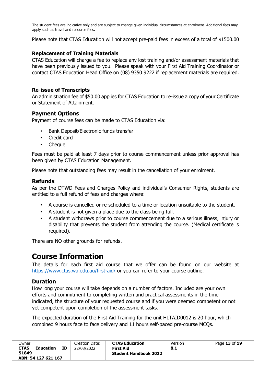The student fees are indicative only and are subject to change given individual circumstances at enrolment. Additional fees may apply such as travel and resource fees.

Please note that CTAS Education will not accept pre-paid fees in excess of a total of \$1500.00

#### <span id="page-12-0"></span>**Replacement of Training Materials**

CTAS Education will charge a fee to replace any lost training and/or assessment materials that have been previously issued to you. Please speak with your First Aid Training Coordinator or contact CTAS Education Head Office on (08) 9350 9222 if replacement materials are required.

#### <span id="page-12-1"></span>**Re-issue of Transcripts**

An administration fee of \$50.00 applies for CTAS Education to re-issue a copy of your Certificate or Statement of Attainment.

#### <span id="page-12-2"></span>**Payment Options**

Payment of course fees can be made to CTAS Education via:

- Bank Deposit/Electronic funds transfer
- Credit card
- Cheque

Fees must be paid at least 7 days prior to course commencement unless prior approval has been given by CTAS Education Management.

Please note that outstanding fees may result in the cancellation of your enrolment.

#### <span id="page-12-3"></span>**Refunds**

As per the DTWD Fees and Charges Policy and individual's Consumer Rights, students are entitled to a full refund of fees and charges where:

- A course is cancelled or re-scheduled to a time or location unsuitable to the student.
- A student is not given a place due to the class being full.
- A student withdraws prior to course commencement due to a serious illness, injury or disability that prevents the student from attending the course. (Medical certificate is required).

There are NO other grounds for refunds.

# <span id="page-12-4"></span>**Course Information**

The details for each first aid course that we offer can be found on our website at <https://www.ctas.wa.edu.au/first-aid/> [o](https://www.ctas.wa.edu.au/first-aid/)r you can refer to your course outline.

## <span id="page-12-5"></span>**Duration**

How long your course will take depends on a number of factors. Included are your own efforts and commitment to completing written and practical assessments in the time indicated, the structure of your requested course and if you were deemed competent or not yet competent upon completion of the assessment tasks.

The expected duration of the First Aid Training for the unit HLTAID0012 is 20 hour, which combined 9 hours face to face delivery and 11 hours self-paced pre-course MCQs.

| Owner<br><b>CTAS</b> | Education           | ΙD | Creation Date:<br>22/03/2022 | <b>CTAS Education</b><br>First Aid | Version<br>8.1 | Page 13 of 19 |
|----------------------|---------------------|----|------------------------------|------------------------------------|----------------|---------------|
| 51849                | ABN: 54 127 621 167 |    |                              | <b>Student Handbook 2022</b>       |                |               |
|                      |                     |    |                              |                                    |                |               |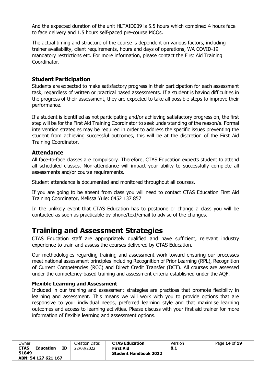And the expected duration of the unit HLTAID009 is 5.5 hours which combined 4 hours face to face delivery and 1.5 hours self-paced pre-course MCQs.

The actual timing and structure of the course is dependent on various factors, including trainer availability, client requirements, hours and days of operations, WA COVID-19 mandatory restrictions etc. For more information, please contact the First Aid Training Coordinator.

# <span id="page-13-0"></span>**Student Participation**

Students are expected to make satisfactory progress in their participation for each assessment task, regardless of written or practical based assessments. If a student is having difficulties in the progress of their assessment, they are expected to take all possible steps to improve their performance.

If a student is identified as not participating and/or achieving satisfactory progression, the first step will be for the First Aid Training Coordinator to seek understanding of the reason/s. Formal intervention strategies may be required in order to address the specific issues preventing the student from achieving successful outcomes, this will be at the discretion of the First Aid Training Coordinator.

#### <span id="page-13-1"></span>**Attendance**

All face-to-face classes are compulsory. Therefore, CTAS Education expects student to attend all scheduled classes. Non-attendance will impact your ability to successfully complete all assessments and/or course requirements.

Student attendance is documented and monitored throughout all courses.

If you are going to be absent from class you will need to contact CTAS Education First Aid Training Coordinator, Melissa Yule: 0452 137 857

In the unlikely event that CTAS Education has to postpone or change a class you will be contacted as soon as practicable by phone/text/email to advise of the changes.

# <span id="page-13-2"></span>**Training and Assessment Strategies**

CTAS Education staff are appropriately qualified and have sufficient, relevant industry experience to train and assess the courses delivered by CTAS Education**.**

Our methodologies regarding training and assessment work toward ensuring our processes meet national assessment principles including Recognition of Prior Learning (RPL), Recognition of Current Competencies (RCC) and Direct Credit Transfer (DCT). All courses are assessed under the competency-based training and assessment criteria established under the AQF.

#### <span id="page-13-3"></span>**Flexible Learning and Assessment**

Included in our training and assessment strategies are practices that promote flexibility in learning and assessment. This means we will work with you to provide options that are responsive to your individual needs, preferred learning style and that maximise learning outcomes and access to learning activities. Please discuss with your first aid trainer for more information of flexible learning and assessment options.

| Owner                                                    |    | Creation Date: | <b>CTAS Education</b>                     | Version | Page 14 of 19 |
|----------------------------------------------------------|----|----------------|-------------------------------------------|---------|---------------|
| <b>CTAS</b><br>Education<br>51849<br>ABN: 54 127 621 167 | ΙD | 22/03/2022     | First Aid<br><b>Student Handbook 2022</b> | 8.1     |               |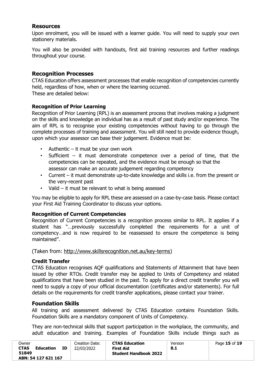# <span id="page-14-0"></span>**Resources**

Upon enrolment, you will be issued with a learner guide. You will need to supply your own stationery materials.

You will also be provided with handouts, first aid training resources and further readings throughout your course.

# <span id="page-14-1"></span>**Recognition Processes**

CTAS Education offers assessment processes that enable recognition of competencies currently held, regardless of how, when or where the learning occurred. These are detailed below:

## <span id="page-14-2"></span>**Recognition of Prior Learning**

Recognition of Prior Learning (RPL) is an assessment process that involves making a judgment on the skills and knowledge an individual has as a result of past study and/or experience. The aim of RPL is to recognise your existing competencies without having to go through the complete processes of training and assessment. You will still need to provide evidence though, upon which your assessor can base their judgement. Evidence must be:

- Authentic it must be your own work
- Sufficient it must demonstrate competence over a period of time, that the competencies can be repeated, and the evidence must be enough so that the assessor can make an accurate judgement regarding competency
- Current it must demonstrate up-to-date knowledge and skills i.e. from the present or the very-recent past
- Valid it must be relevant to what is being assessed

You may be eligible to apply for RPL these are assessed on a case-by-case basis. Please contact your First Aid Training Coordinator to discuss your options.

## <span id="page-14-3"></span>**Recognition of Current Competencies**

Recognition of Current Competencies is a recognition process similar to RPL. It applies if a student has "…previously successfully completed the requirements for a unit of competency…and is now required to be reassessed to ensure the competence is being maintained".

(Taken fro[m: http://www.skillsrecognition.net.au/key-terms\)](http://www.skillsrecognition.net.au/key-terms)

## <span id="page-14-4"></span>**Credit Transfer**

CTAS Education recognises AQF qualifications and Statements of Attainment that have been issued by other RTOs. Credit transfer may be applied to Units of Competency and related qualifications that have been studied in the past. To apply for a direct credit transfer you will need to supply a copy of your official documentation (certificates and/or statements). For full details on the requirements for credit transfer applications, please contact your trainer.

## <span id="page-14-5"></span>**Foundation Skills**

All training and assessment delivered by CTAS Education contains Foundation Skills. Foundation Skills are a mandatory component of Units of Competency.

They are non-technical skills that support participation in the workplace, the community, and adult education and training. Examples of Foundation Skills include things such as

| Owner<br><b>CTAS</b><br><b>Education</b> | ΙD | Creation Date:<br>22/03/2022 | <b>CTAS Education</b><br>First Aid | Version<br>8.1 | Page 15 of 19 |
|------------------------------------------|----|------------------------------|------------------------------------|----------------|---------------|
| 51849                                    |    |                              | <b>Student Handbook 2022</b>       |                |               |
| ABN: 54 127 621 167                      |    |                              |                                    |                |               |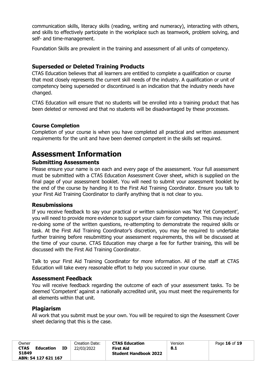communication skills, literacy skills (reading, writing and numeracy), interacting with others, and skills to effectively participate in the workplace such as teamwork, problem solving, and self- and time-management.

Foundation Skills are prevalent in the training and assessment of all units of competency.

# <span id="page-15-0"></span>**Superseded or Deleted Training Products**

CTAS Education believes that all learners are entitled to complete a qualification or course that most closely represents the current skill needs of the industry. A qualification or unit of competency being superseded or discontinued is an indication that the industry needs have changed.

CTAS Education will ensure that no students will be enrolled into a training product that has been deleted or removed and that no students will be disadvantaged by these processes.

# <span id="page-15-1"></span>**Course Completion**

Completion of your course is when you have completed all practical and written assessment requirements for the unit and have been deemed competent in the skills set required.

# <span id="page-15-2"></span>**Assessment Information**

# <span id="page-15-3"></span>**Submitting Assessments**

Please ensure your name is on each and every page of the assessment. Your full assessment must be submitted with a CTAS Education Assessment Cover sheet, which is supplied on the final page of your assessment booklet. You will need to submit your assessment booklet by the end of the course by handing it to the First Aid Training Coordinator. Ensure you talk to your First Aid Training Coordinator to clarify anything that is not clear to you.

## <span id="page-15-4"></span>**Resubmissions**

If you receive feedback to say your practical or written submission was 'Not Yet Competent', you will need to provide more evidence to support your claim for competency. This may include re-doing some of the written questions, re-attempting to demonstrate the required skills or task. At the First Aid Training Coordinator's discretion, you may be required to undertake further training before resubmitting your assessment requirements, this will be discussed at the time of your course. CTAS Education may charge a fee for further training, this will be discussed with the First Aid Training Coordinator.

Talk to your First Aid Training Coordinator for more information. All of the staff at CTAS Education will take every reasonable effort to help you succeed in your course.

## <span id="page-15-5"></span>**Assessment Feedback**

You will receive feedback regarding the outcome of each of your assessment tasks. To be deemed 'Competent' against a nationally accredited unit, you must meet the requirements for all elements within that unit.

## <span id="page-15-6"></span>**Plagiarism**

All work that you submit must be your own. You will be required to sign the Assessment Cover sheet declaring that this is the case.

| Owner<br><b>CTAS</b><br><b>Education</b><br>51849 | ΙD | Creation Date:<br>22/03/2022 | <b>CTAS Education</b><br>First Aid<br><b>Student Handbook 2022</b> | Version<br>8.1 | Page 16 of 19 |
|---------------------------------------------------|----|------------------------------|--------------------------------------------------------------------|----------------|---------------|
| ABN: 54 127 621 167                               |    |                              |                                                                    |                |               |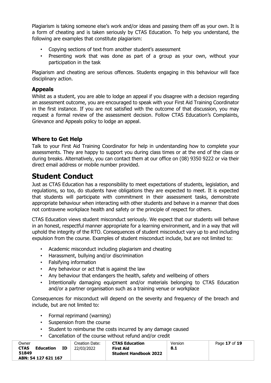Plagiarism is taking someone else's work and/or ideas and passing them off as your own. It is a form of cheating and is taken seriously by CTAS Education. To help you understand, the following are examples that constitute plagiarism:

- Copying sections of text from another student's assessment
- Presenting work that was done as part of a group as your own, without your participation in the task

Plagiarism and cheating are serious offences. Students engaging in this behaviour will face disciplinary action.

# <span id="page-16-0"></span>**Appeals**

Whilst as a student, you are able to lodge an appeal if you disagree with a decision regarding an assessment outcome, you are encouraged to speak with your First Aid Training Coordinator in the first instance. If you are not satisfied with the outcome of that discussion, you may request a formal review of the assessment decision. Follow CTAS Education's Complaints, Grievance and Appeals policy to lodge an appeal.

# <span id="page-16-1"></span>**Where to Get Help**

Talk to your First Aid Training Coordinator for help in understanding how to complete your assessments. They are happy to support you during class times or at the end of the class or during breaks. Alternatively, you can contact them at our office on (08) 9350 9222 or via their direct email address or mobile number provided.

# <span id="page-16-2"></span>**Student Conduct**

Just as CTAS Education has a responsibility to meet expectations of students, legislation, and regulations, so too, do students have obligations they are expected to meet. It is expected that students will participate with commitment in their assessment tasks, demonstrate appropriate behaviour when interacting with other students and behave in a manner that does not contravene workplace health and safety or the principle of respect for others.

CTAS Education views student misconduct seriously. We expect that our students will behave in an honest, respectful manner appropriate for a learning environment, and in a way that will uphold the integrity of the RTO. Consequences of student misconduct vary up to and including expulsion from the course. Examples of student misconduct include, but are not limited to:

- Academic misconduct including plagiarism and cheating
- Harassment, bullying and/or discrimination
- Falsifying information
- Any behaviour or act that is against the law
- Any behaviour that endangers the health, safety and wellbeing of others
- Intentionally damaging equipment and/or materials belonging to CTAS Education and/or a partner organisation such as a training venue or workplace

Consequences for misconduct will depend on the severity and frequency of the breach and include, but are not limited to:

- Formal reprimand (warning)
- Suspension from the course
- Student to reimburse the costs incurred by any damage caused
- Cancellation of the course without refund and/or credit

| Owner<br><b>CTAS</b><br>51849 | Education           | ΙD | Creation Date:<br>22/03/2022 | <b>CTAS Education</b><br>First Aid<br><b>Student Handbook 2022</b> | Version<br>8.1 | Page 17 of 19 |
|-------------------------------|---------------------|----|------------------------------|--------------------------------------------------------------------|----------------|---------------|
|                               | ABN: 54 127 621 167 |    |                              |                                                                    |                |               |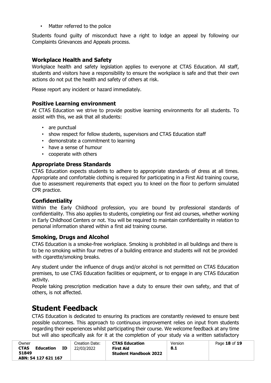• Matter referred to the police

Students found guilty of misconduct have a right to lodge an appeal by following our Complaints Grievances and Appeals process.

# <span id="page-17-0"></span>**Workplace Health and Safety**

Workplace health and safety legislation applies to everyone at CTAS Education. All staff, students and visitors have a responsibility to ensure the workplace is safe and that their own actions do not put the health and safety of others at risk.

<span id="page-17-1"></span>Please report any incident or hazard immediately.

# **Positive Learning environment**

At CTAS Education we strive to provide positive learning environments for all students. To assist with this, we ask that all students:

- are punctual
- show respect for fellow students, supervisors and CTAS Education staff
- demonstrate a commitment to learning
- have a sense of humour
- cooperate with others

# <span id="page-17-2"></span>**Appropriate Dress Standards**

CTAS Education expects students to adhere to appropriate standards of dress at all times. Appropriate and comfortable clothing is required for participating in a First Aid training course, due to assessment requirements that expect you to kneel on the floor to perform simulated CPR practice.

## <span id="page-17-3"></span>**Confidentiality**

Within the Early Childhood profession, you are bound by professional standards of confidentiality. This also applies to students, completing our first aid courses, whether working in Early Childhood Centers or not. You will be required to maintain confidentiality in relation to personal information shared within a first aid training course.

## <span id="page-17-4"></span>**Smoking, Drugs and Alcohol**

CTAS Education is a smoke-free workplace. Smoking is prohibited in all buildings and there is to be no smoking within four metres of a building entrance and students will not be provided with cigarette/smoking breaks.

Any student under the influence of drugs and/or alcohol is not permitted on CTAS Education premises, to use CTAS Education facilities or equipment, or to engage in any CTAS Education activity.

People taking prescription medication have a duty to ensure their own safety, and that of others, is not affected.

# <span id="page-17-5"></span>**Student Feedback**

CTAS Education is dedicated to ensuring its practices are constantly reviewed to ensure best possible outcomes. This approach to continuous improvement relies on input from students regarding their experiences whilst participating their course. We welcome feedback at any time but will also specifically ask for it at the completion of your study via a written satisfactory

| Owner                    |    | Creation Date: | <b>CTAS Education</b>        | Version | Page 18 of 19 |
|--------------------------|----|----------------|------------------------------|---------|---------------|
| <b>CTAS</b><br>Education | ΙD | 22/03/2022     | First Aid                    | 8.1     |               |
| 51849                    |    |                | <b>Student Handbook 2022</b> |         |               |
| ABN: 54 127 621 167      |    |                |                              |         |               |